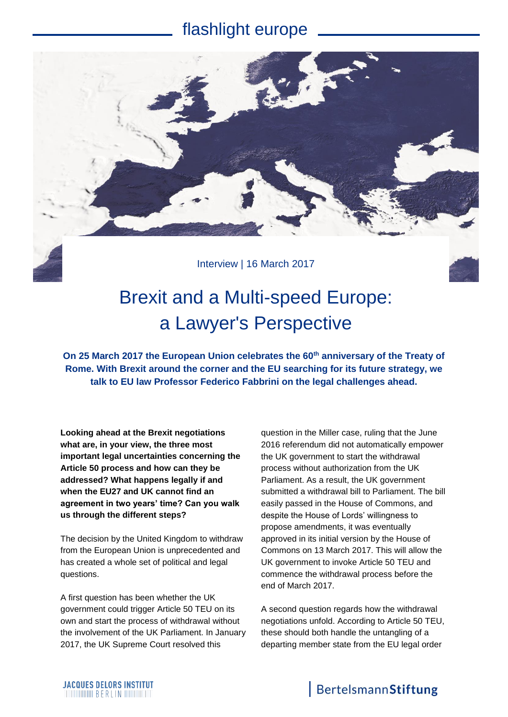### flashlight europe



## Brexit and a Multi-speed Europe: a Lawyer's Perspective

**On 25 March 2017 the European Union celebrates the 60th anniversary of the Treaty of Rome. With Brexit around the corner and the EU searching for its future strategy, we talk to EU law Professor Federico Fabbrini on the legal challenges ahead.**

**Looking ahead at the Brexit negotiations what are, in your view, the three most important legal uncertainties concerning the Article 50 process and how can they be addressed? What happens legally if and when the EU27 and UK cannot find an agreement in two years' time? Can you walk us through the different steps?**

The decision by the United Kingdom to withdraw from the European Union is unprecedented and has created a whole set of political and legal questions.

A first question has been whether the UK government could trigger Article 50 TEU on its own and start the process of withdrawal without the involvement of the UK Parliament. In January 2017, the UK Supreme Court resolved this

question in the Miller case, ruling that the June 2016 referendum did not automatically empower the UK government to start the withdrawal process without authorization from the UK Parliament. As a result, the UK government submitted a withdrawal bill to Parliament. The bill easily passed in the House of Commons, and despite the House of Lords' willingness to propose amendments, it was eventually approved in its initial version by the House of Commons on 13 March 2017. This will allow the UK government to invoke Article 50 TEU and commence the withdrawal process before the end of March 2017.

A second question regards how the withdrawal negotiations unfold. According to Article 50 TEU, these should both handle the untangling of a departing member state from the EU legal order

### BertelsmannStiftung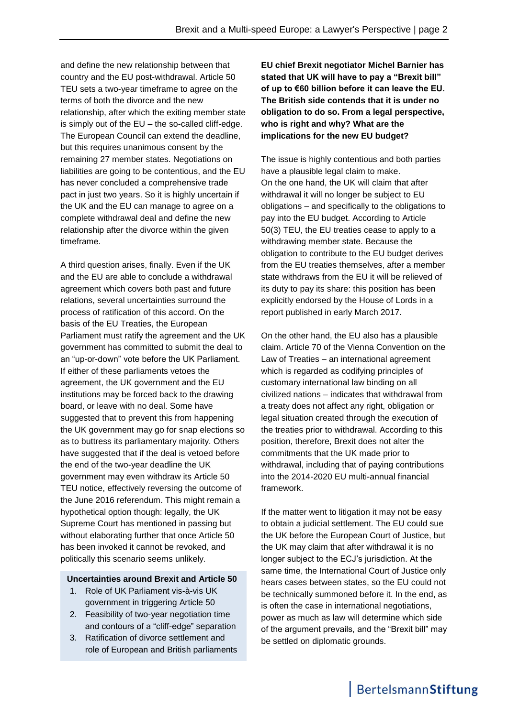and define the new relationship between that country and the EU post-withdrawal. Article 50 TEU sets a two-year timeframe to agree on the terms of both the divorce and the new relationship, after which the exiting member state is simply out of the  $EU$  – the so-called cliff-edge. The European Council can extend the deadline, but this requires unanimous consent by the remaining 27 member states. Negotiations on liabilities are going to be contentious, and the EU has never concluded a comprehensive trade pact in just two years. So it is highly uncertain if the UK and the EU can manage to agree on a complete withdrawal deal and define the new relationship after the divorce within the given timeframe.

A third question arises, finally. Even if the UK and the EU are able to conclude a withdrawal agreement which covers both past and future relations, several uncertainties surround the process of ratification of this accord. On the basis of the EU Treaties, the European Parliament must ratify the agreement and the UK government has committed to submit the deal to an "up-or-down" vote before the UK Parliament. If either of these parliaments vetoes the agreement, the UK government and the EU institutions may be forced back to the drawing board, or leave with no deal. Some have suggested that to prevent this from happening the UK government may go for snap elections so as to buttress its parliamentary majority. Others have suggested that if the deal is vetoed before the end of the two-year deadline the UK government may even withdraw its Article 50 TEU notice, effectively reversing the outcome of the June 2016 referendum. This might remain a hypothetical option though: legally, the UK Supreme Court has mentioned in passing but without elaborating further that once Article 50 has been invoked it cannot be revoked, and politically this scenario seems unlikely.

#### **Uncertainties around Brexit and Article 50**

- 1. Role of UK Parliament vis-à-vis UK government in triggering Article 50
- 2. Feasibility of two-year negotiation time and contours of a "cliff-edge" separation
- 3. Ratification of divorce settlement and role of European and British parliaments

**EU chief Brexit negotiator Michel Barnier has stated that UK will have to pay a "Brexit bill" of up to €60 billion before it can leave the EU. The British side contends that it is under no obligation to do so. From a legal perspective, who is right and why? What are the implications for the new EU budget?**

The issue is highly contentious and both parties have a plausible legal claim to make. On the one hand, the UK will claim that after withdrawal it will no longer be subject to EU obligations – and specifically to the obligations to pay into the EU budget. According to Article 50(3) TEU, the EU treaties cease to apply to a withdrawing member state. Because the obligation to contribute to the EU budget derives from the EU treaties themselves, after a member state withdraws from the EU it will be relieved of its duty to pay its share: this position has been explicitly endorsed by the House of Lords in a report published in early March 2017.

On the other hand, the EU also has a plausible claim. Article 70 of the Vienna Convention on the Law of Treaties – an international agreement which is regarded as codifying principles of customary international law binding on all civilized nations – indicates that withdrawal from a treaty does not affect any right, obligation or legal situation created through the execution of the treaties prior to withdrawal. According to this position, therefore, Brexit does not alter the commitments that the UK made prior to withdrawal, including that of paying contributions into the 2014-2020 EU multi-annual financial framework.

If the matter went to litigation it may not be easy to obtain a judicial settlement. The EU could sue the UK before the European Court of Justice, but the UK may claim that after withdrawal it is no longer subject to the ECJ's jurisdiction. At the same time, the International Court of Justice only hears cases between states, so the EU could not be technically summoned before it. In the end, as is often the case in international negotiations, power as much as law will determine which side of the argument prevails, and the "Brexit bill" may be settled on diplomatic grounds.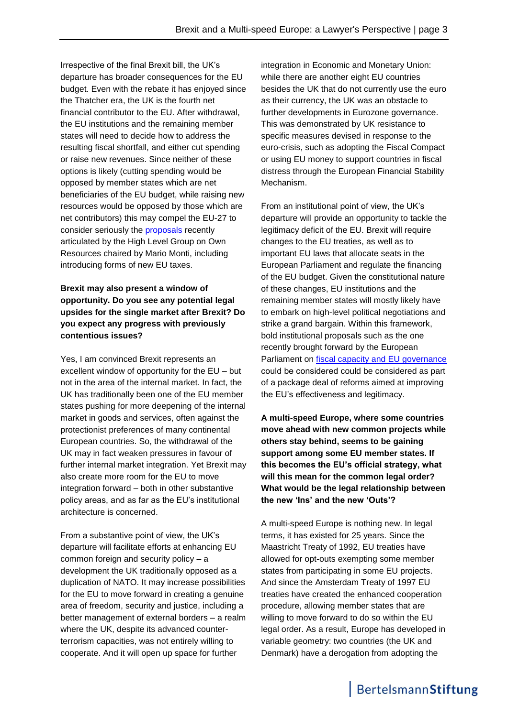Irrespective of the final Brexit bill, the UK's departure has broader consequences for the EU budget. Even with the rebate it has enjoyed since the Thatcher era, the UK is the fourth net financial contributor to the EU. After withdrawal, the EU institutions and the remaining member states will need to decide how to address the resulting fiscal shortfall, and either cut spending or raise new revenues. Since neither of these options is likely (cutting spending would be opposed by member states which are net beneficiaries of the EU budget, while raising new resources would be opposed by those which are net contributors) this may compel the EU-27 to consider seriously the **proposals** recently articulated by the High Level Group on Own Resources chaired by Mario Monti, including introducing forms of new EU taxes.

#### **Brexit may also present a window of opportunity. Do you see any potential legal upsides for the single market after Brexit? Do you expect any progress with previously contentious issues?**

Yes, I am convinced Brexit represents an excellent window of opportunity for the EU – but not in the area of the internal market. In fact, the UK has traditionally been one of the EU member states pushing for more deepening of the internal market in goods and services, often against the protectionist preferences of many continental European countries. So, the withdrawal of the UK may in fact weaken pressures in favour of further internal market integration. Yet Brexit may also create more room for the EU to move integration forward – both in other substantive policy areas, and as far as the EU's institutional architecture is concerned.

From a substantive point of view, the UK's departure will facilitate efforts at enhancing EU common foreign and security policy – a development the UK traditionally opposed as a duplication of NATO. It may increase possibilities for the EU to move forward in creating a genuine area of freedom, security and justice, including a better management of external borders – a realm where the UK, despite its advanced counterterrorism capacities, was not entirely willing to cooperate. And it will open up space for further

integration in Economic and Monetary Union: while there are another eight EU countries besides the UK that do not currently use the euro as their currency, the UK was an obstacle to further developments in Eurozone governance. This was demonstrated by UK resistance to specific measures devised in response to the euro-crisis, such as adopting the Fiscal Compact or using EU money to support countries in fiscal distress through the European Financial Stability Mechanism.

From an institutional point of view, the UK's departure will provide an opportunity to tackle the legitimacy deficit of the EU. Brexit will require changes to the EU treaties, as well as to important EU laws that allocate seats in the European Parliament and regulate the financing of the EU budget. Given the constitutional nature of these changes, EU institutions and the remaining member states will mostly likely have to embark on high-level political negotiations and strike a grand bargain. Within this framework, bold institutional proposals such as the one recently brought forward by the European Parliament on [fiscal capacity and EU governance](http://www.europarl.europa.eu/thinktank/en/document.html?reference=EPRS_IDA(2016)589774) could be considered could be considered as part of a package deal of reforms aimed at improving the EU's effectiveness and legitimacy.

**A multi-speed Europe, where some countries move ahead with new common projects while others stay behind, seems to be gaining support among some EU member states. If this becomes the EU's official strategy, what will this mean for the common legal order? What would be the legal relationship between the new 'Ins' and the new 'Outs'?**

A multi-speed Europe is nothing new. In legal terms, it has existed for 25 years. Since the Maastricht Treaty of 1992, EU treaties have allowed for opt-outs exempting some member states from participating in some EU projects. And since the Amsterdam Treaty of 1997 EU treaties have created the enhanced cooperation procedure, allowing member states that are willing to move forward to do so within the EU legal order. As a result, Europe has developed in variable geometry: two countries (the UK and Denmark) have a derogation from adopting the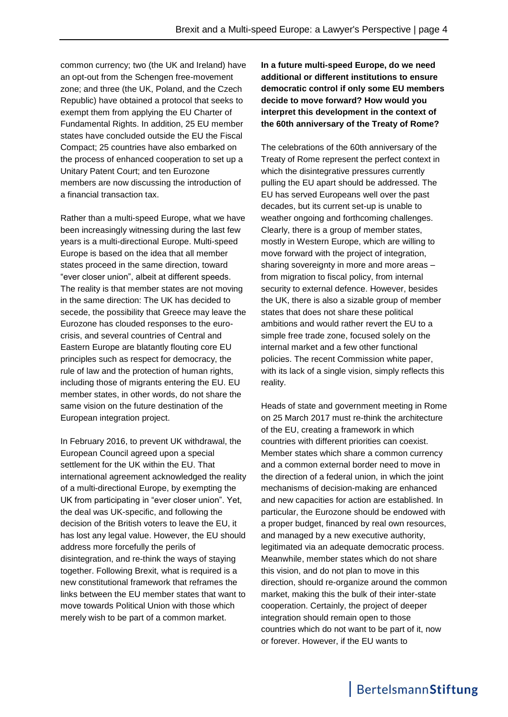common currency; two (the UK and Ireland) have an opt-out from the Schengen free-movement zone; and three (the UK, Poland, and the Czech Republic) have obtained a protocol that seeks to exempt them from applying the EU Charter of Fundamental Rights. In addition, 25 EU member states have concluded outside the EU the Fiscal Compact; 25 countries have also embarked on the process of enhanced cooperation to set up a Unitary Patent Court; and ten Eurozone members are now discussing the introduction of a financial transaction tax.

Rather than a multi-speed Europe, what we have been increasingly witnessing during the last few years is a multi-directional Europe. Multi-speed Europe is based on the idea that all member states proceed in the same direction, toward "ever closer union", albeit at different speeds. The reality is that member states are not moving in the same direction: The UK has decided to secede, the possibility that Greece may leave the Eurozone has clouded responses to the eurocrisis, and several countries of Central and Eastern Europe are blatantly flouting core EU principles such as respect for democracy, the rule of law and the protection of human rights, including those of migrants entering the EU. EU member states, in other words, do not share the same vision on the future destination of the European integration project.

In February 2016, to prevent UK withdrawal, the European Council agreed upon a special settlement for the UK within the EU. That international agreement acknowledged the reality of a multi-directional Europe, by exempting the UK from participating in "ever closer union". Yet, the deal was UK-specific, and following the decision of the British voters to leave the EU, it has lost any legal value. However, the EU should address more forcefully the perils of disintegration, and re-think the ways of staying together. Following Brexit, what is required is a new constitutional framework that reframes the links between the EU member states that want to move towards Political Union with those which merely wish to be part of a common market.

**In a future multi-speed Europe, do we need additional or different institutions to ensure democratic control if only some EU members decide to move forward? How would you interpret this development in the context of the 60th anniversary of the Treaty of Rome?** 

The celebrations of the 60th anniversary of the Treaty of Rome represent the perfect context in which the disintegrative pressures currently pulling the EU apart should be addressed. The EU has served Europeans well over the past decades, but its current set-up is unable to weather ongoing and forthcoming challenges. Clearly, there is a group of member states, mostly in Western Europe, which are willing to move forward with the project of integration, sharing sovereignty in more and more areas – from migration to fiscal policy, from internal security to external defence. However, besides the UK, there is also a sizable group of member states that does not share these political ambitions and would rather revert the EU to a simple free trade zone, focused solely on the internal market and a few other functional policies. The recent Commission white paper, with its lack of a single vision, simply reflects this reality.

Heads of state and government meeting in Rome on 25 March 2017 must re-think the architecture of the EU, creating a framework in which countries with different priorities can coexist. Member states which share a common currency and a common external border need to move in the direction of a federal union, in which the joint mechanisms of decision-making are enhanced and new capacities for action are established. In particular, the Eurozone should be endowed with a proper budget, financed by real own resources, and managed by a new executive authority, legitimated via an adequate democratic process. Meanwhile, member states which do not share this vision, and do not plan to move in this direction, should re-organize around the common market, making this the bulk of their inter-state cooperation. Certainly, the project of deeper integration should remain open to those countries which do not want to be part of it, now or forever. However, if the EU wants to